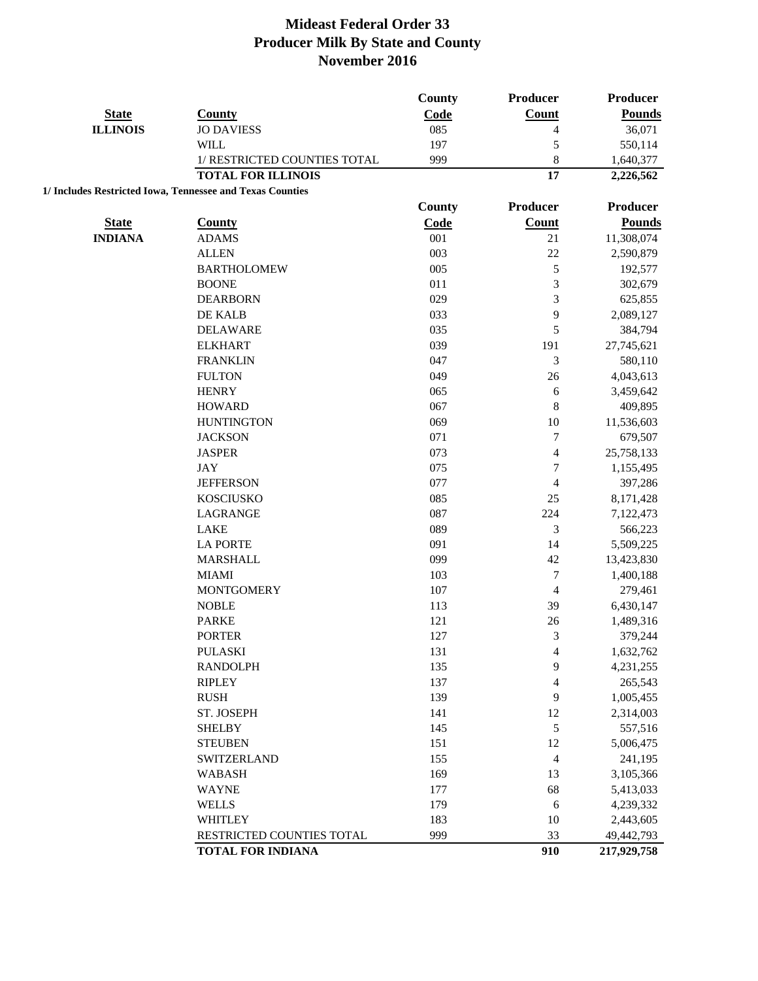|                 |                                                           | <b>County</b> | Producer         | Producer      |
|-----------------|-----------------------------------------------------------|---------------|------------------|---------------|
| <b>State</b>    | <b>County</b>                                             | Code          | <b>Count</b>     | <b>Pounds</b> |
| <b>ILLINOIS</b> | <b>JO DAVIESS</b>                                         | 085           | 4                | 36,071        |
|                 | <b>WILL</b>                                               | 197           | 5                | 550,114       |
|                 | 1/ RESTRICTED COUNTIES TOTAL                              | 999           | 8                | 1,640,377     |
|                 | <b>TOTAL FOR ILLINOIS</b>                                 |               | 17               | 2,226,562     |
|                 | 1/ Includes Restricted Iowa, Tennessee and Texas Counties |               |                  |               |
|                 |                                                           | County        | Producer         | Producer      |
| <b>State</b>    | <b>County</b>                                             | Code          | Count            | <b>Pounds</b> |
| <b>INDIANA</b>  | <b>ADAMS</b>                                              | 001           | 21               | 11,308,074    |
|                 | <b>ALLEN</b>                                              | 003           | 22               | 2,590,879     |
|                 | <b>BARTHOLOMEW</b>                                        | 005           | 5                | 192,577       |
|                 | <b>BOONE</b>                                              | 011           | 3                | 302,679       |
|                 | <b>DEARBORN</b>                                           | 029           | 3                | 625,855       |
|                 | DE KALB                                                   | 033           | 9                | 2,089,127     |
|                 | <b>DELAWARE</b>                                           | 035           | 5                | 384,794       |
|                 | <b>ELKHART</b>                                            | 039           | 191              | 27,745,621    |
|                 | <b>FRANKLIN</b>                                           | 047           | 3                | 580,110       |
|                 | <b>FULTON</b>                                             | 049           | 26               | 4,043,613     |
|                 | <b>HENRY</b>                                              | 065           | 6                | 3,459,642     |
|                 | <b>HOWARD</b>                                             | 067           | $\,$ 8 $\,$      | 409,895       |
|                 | <b>HUNTINGTON</b>                                         | 069           | 10               | 11,536,603    |
|                 | <b>JACKSON</b>                                            | 071           | $\boldsymbol{7}$ | 679,507       |
|                 | <b>JASPER</b>                                             | 073           | 4                | 25,758,133    |
|                 | <b>JAY</b>                                                | 075           | $\boldsymbol{7}$ | 1,155,495     |
|                 | <b>JEFFERSON</b>                                          | 077           | 4                | 397,286       |
|                 | <b>KOSCIUSKO</b>                                          | 085           | 25               | 8,171,428     |
|                 | LAGRANGE                                                  | 087           | 224              | 7,122,473     |
|                 | <b>LAKE</b>                                               | 089           | 3                | 566,223       |
|                 | <b>LA PORTE</b>                                           | 091           | 14               | 5,509,225     |
|                 | <b>MARSHALL</b>                                           | 099           | 42               | 13,423,830    |
|                 | <b>MIAMI</b>                                              | 103           | $\boldsymbol{7}$ | 1,400,188     |
|                 | <b>MONTGOMERY</b>                                         | 107           | 4                | 279,461       |
|                 | <b>NOBLE</b>                                              | 113           | 39               | 6,430,147     |
|                 | <b>PARKE</b>                                              | 121           | 26               | 1,489,316     |
|                 | <b>PORTER</b>                                             | 127           | $\mathfrak{Z}$   | 379,244       |
|                 | <b>PULASKI</b>                                            | 131           | 4                | 1,632,762     |
|                 | <b>RANDOLPH</b>                                           | 135           | 9                | 4,231,255     |
|                 | <b>RIPLEY</b>                                             | 137           | 4                | 265,543       |
|                 | <b>RUSH</b>                                               | 139           | 9                | 1,005,455     |
|                 | <b>ST. JOSEPH</b>                                         | 141           | 12               | 2,314,003     |
|                 | <b>SHELBY</b>                                             | 145           | 5                | 557,516       |
|                 | <b>STEUBEN</b>                                            | 151           | 12               | 5,006,475     |
|                 | <b>SWITZERLAND</b>                                        | 155           | $\overline{4}$   | 241,195       |
|                 | <b>WABASH</b>                                             | 169           | 13               | 3,105,366     |
|                 | <b>WAYNE</b>                                              | 177           | 68               | 5,413,033     |
|                 | <b>WELLS</b>                                              | 179           | 6                | 4,239,332     |
|                 | <b>WHITLEY</b>                                            | 183           | 10               | 2,443,605     |
|                 | RESTRICTED COUNTIES TOTAL                                 | 999           | 33               | 49,442,793    |
|                 | <b>TOTAL FOR INDIANA</b>                                  |               | 910              | 217,929,758   |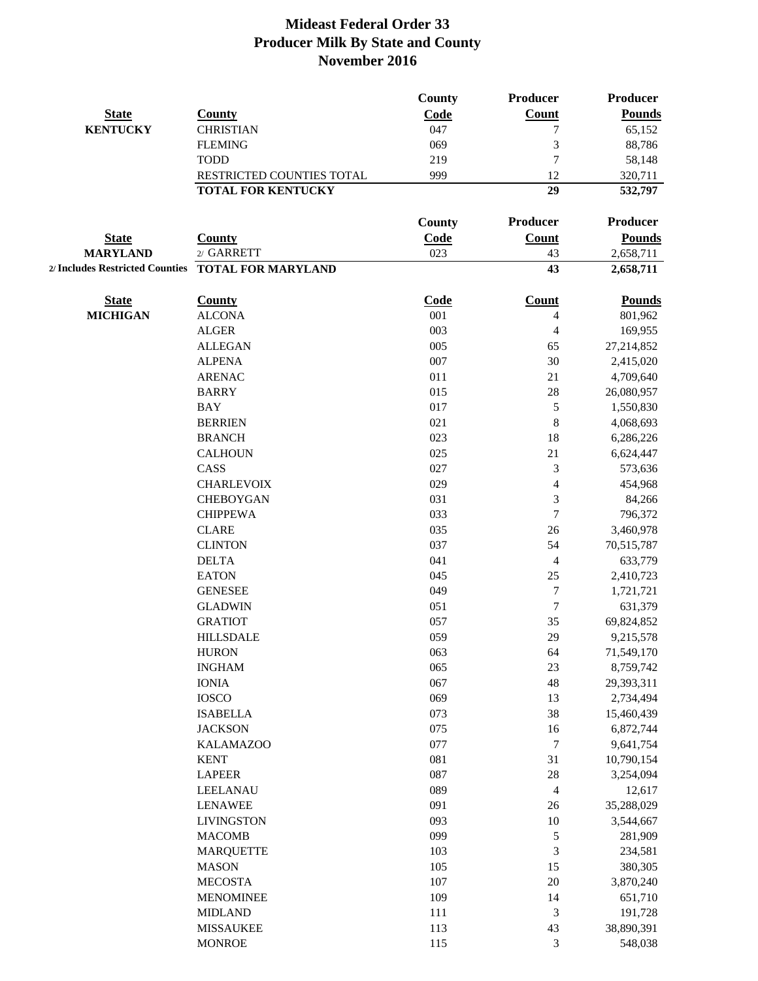|                 |                                                    | <b>County</b> | <b>Producer</b>          | Producer        |
|-----------------|----------------------------------------------------|---------------|--------------------------|-----------------|
| <b>State</b>    | <b>County</b>                                      | Code          | Count                    | <b>Pounds</b>   |
| <b>KENTUCKY</b> | <b>CHRISTIAN</b>                                   | 047           | 7                        | 65,152          |
|                 | <b>FLEMING</b>                                     | 069           | 3                        | 88,786          |
|                 | <b>TODD</b>                                        | 219           | $\overline{7}$           | 58,148          |
|                 | RESTRICTED COUNTIES TOTAL                          | 999           | 12                       | 320,711         |
|                 | <b>TOTAL FOR KENTUCKY</b>                          |               | 29                       | 532,797         |
|                 |                                                    | <b>County</b> | Producer                 | <b>Producer</b> |
| <b>State</b>    | <b>County</b>                                      | Code          | Count                    | <b>Pounds</b>   |
| <b>MARYLAND</b> | 2/ GARRETT                                         | 023           | 43                       | 2,658,711       |
|                 | 2/ Includes Restricted Counties TOTAL FOR MARYLAND |               | 43                       | 2,658,711       |
| <b>State</b>    | <b>County</b>                                      | Code          | <b>Count</b>             | <b>Pounds</b>   |
| <b>MICHIGAN</b> | <b>ALCONA</b>                                      | 001           | 4                        | 801,962         |
|                 | <b>ALGER</b>                                       | 003           | 4                        | 169,955         |
|                 | <b>ALLEGAN</b>                                     | 005           | 65                       | 27,214,852      |
|                 | <b>ALPENA</b>                                      | 007           | 30                       | 2,415,020       |
|                 | <b>ARENAC</b>                                      | 011           | 21                       | 4,709,640       |
|                 | <b>BARRY</b>                                       | 015           | $28\,$                   | 26,080,957      |
|                 | <b>BAY</b>                                         | 017           | 5                        | 1,550,830       |
|                 | <b>BERRIEN</b>                                     | 021           | 8                        | 4,068,693       |
|                 | <b>BRANCH</b>                                      | 023           | 18                       | 6,286,226       |
|                 | <b>CALHOUN</b>                                     | 025           | 21                       | 6,624,447       |
|                 | CASS                                               | 027           | 3                        | 573,636         |
|                 | <b>CHARLEVOIX</b>                                  | 029           | $\overline{\mathcal{L}}$ | 454,968         |
|                 | <b>CHEBOYGAN</b>                                   | 031           | 3                        | 84,266          |
|                 | <b>CHIPPEWA</b>                                    | 033           | $\boldsymbol{7}$         | 796,372         |
|                 | <b>CLARE</b>                                       | 035           | 26                       | 3,460,978       |
|                 | <b>CLINTON</b>                                     | 037           | 54                       | 70,515,787      |
|                 | <b>DELTA</b>                                       | 041           | 4                        | 633,779         |
|                 | <b>EATON</b>                                       | 045           | 25                       | 2,410,723       |
|                 | <b>GENESEE</b>                                     | 049           | 7                        | 1,721,721       |
|                 | <b>GLADWIN</b>                                     | 051           | 7                        | 631,379         |
|                 | <b>GRATIOT</b>                                     | 057           | 35                       | 69,824,852      |
|                 | <b>HILLSDALE</b>                                   | 059           | 29                       | 9,215,578       |
|                 | <b>HURON</b>                                       | 063           | 64                       | 71,549,170      |
|                 | <b>INGHAM</b>                                      | 065           | 23                       | 8,759,742       |
|                 | <b>IONIA</b>                                       | 067           | 48                       | 29,393,311      |
|                 | <b>IOSCO</b>                                       | 069           | 13                       | 2,734,494       |
|                 | <b>ISABELLA</b>                                    | 073           | 38                       | 15,460,439      |
|                 | <b>JACKSON</b>                                     | 075           | 16                       | 6,872,744       |
|                 | <b>KALAMAZOO</b>                                   | 077           | 7                        | 9,641,754       |
|                 | <b>KENT</b>                                        | 081           | 31                       | 10,790,154      |
|                 | <b>LAPEER</b>                                      | 087           | $28\,$                   | 3,254,094       |
|                 | LEELANAU                                           | 089           | $\overline{4}$           | 12,617          |
|                 | <b>LENAWEE</b>                                     | 091           | 26                       | 35,288,029      |
|                 | <b>LIVINGSTON</b>                                  | 093           | $10\,$                   | 3,544,667       |
|                 | <b>MACOMB</b>                                      | 099           | $\mathfrak s$            | 281,909         |
|                 | <b>MARQUETTE</b>                                   | 103           | $\mathfrak{Z}$           | 234,581         |
|                 | <b>MASON</b>                                       | 105           | 15                       | 380,305         |
|                 | <b>MECOSTA</b>                                     | 107           | 20                       | 3,870,240       |
|                 | <b>MENOMINEE</b>                                   | 109           | 14                       | 651,710         |
|                 | <b>MIDLAND</b>                                     | 111           | 3                        | 191,728         |
|                 | <b>MISSAUKEE</b>                                   | 113           | 43                       | 38,890,391      |
|                 | <b>MONROE</b>                                      | 115           | 3                        | 548,038         |
|                 |                                                    |               |                          |                 |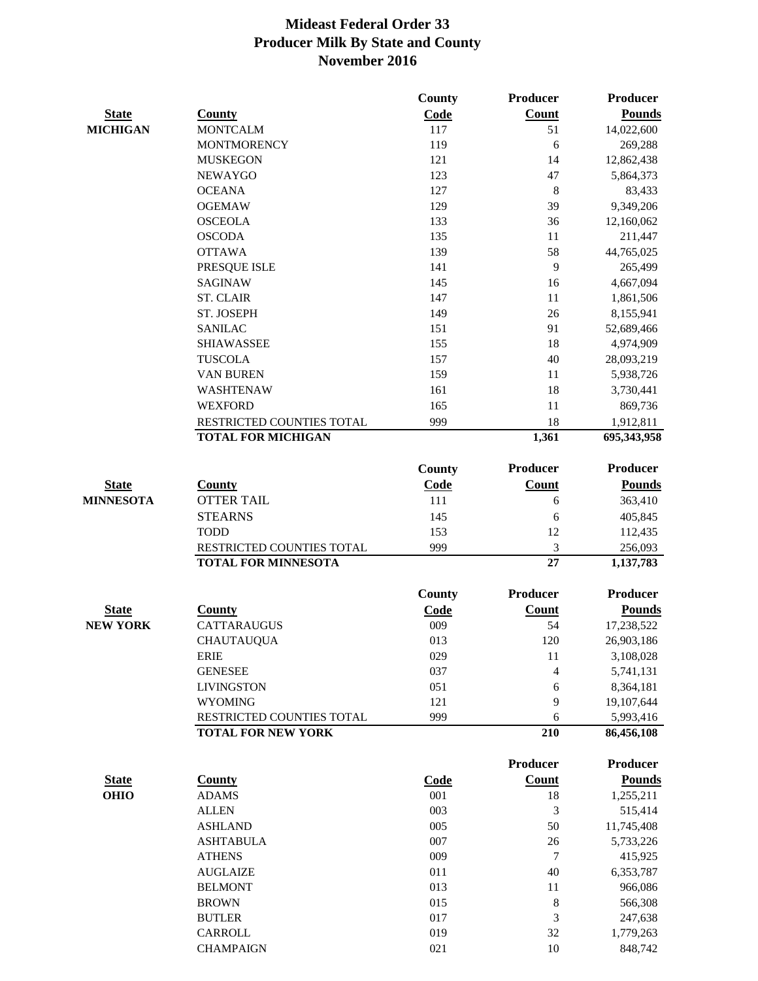|                  |                                                         | County        | <b>Producer</b> | <b>Producer</b>      |
|------------------|---------------------------------------------------------|---------------|-----------------|----------------------|
| <b>State</b>     | <b>County</b>                                           | Code          | <b>Count</b>    | <b>Pounds</b>        |
| <b>MICHIGAN</b>  | <b>MONTCALM</b>                                         | 117           | 51              | 14,022,600           |
|                  | <b>MONTMORENCY</b>                                      | 119           | 6               | 269,288              |
|                  | <b>MUSKEGON</b>                                         | 121           | 14              | 12,862,438           |
|                  | <b>NEWAYGO</b>                                          | 123           | 47              | 5,864,373            |
|                  | <b>OCEANA</b>                                           | 127           | $\,8\,$         | 83,433               |
|                  | <b>OGEMAW</b>                                           | 129           | 39              | 9,349,206            |
|                  | <b>OSCEOLA</b>                                          | 133           | 36              | 12,160,062           |
|                  | <b>OSCODA</b>                                           | 135           | 11              | 211,447              |
|                  | <b>OTTAWA</b>                                           | 139           | 58              | 44,765,025           |
|                  | PRESQUE ISLE                                            | 141           | 9               | 265,499              |
|                  | <b>SAGINAW</b>                                          | 145           | 16              | 4,667,094            |
|                  | <b>ST. CLAIR</b>                                        | 147           | 11              | 1,861,506            |
|                  | ST. JOSEPH                                              | 149           | 26              | 8,155,941            |
|                  | <b>SANILAC</b>                                          | 151           | 91              | 52,689,466           |
|                  | <b>SHIAWASSEE</b>                                       | 155           | 18              | 4,974,909            |
|                  | <b>TUSCOLA</b>                                          | 157           | 40              | 28,093,219           |
|                  | <b>VAN BUREN</b>                                        | 159           | 11              | 5,938,726            |
|                  | WASHTENAW                                               | 161           | 18              | 3,730,441            |
|                  | <b>WEXFORD</b>                                          | 165           | 11              | 869,736              |
|                  | RESTRICTED COUNTIES TOTAL                               | 999           | 18              | 1,912,811            |
|                  | <b>TOTAL FOR MICHIGAN</b>                               |               | 1,361           | 695,343,958          |
|                  |                                                         | <b>County</b> | <b>Producer</b> | <b>Producer</b>      |
| <b>State</b>     | <b>County</b>                                           | Code          | Count           | <b>Pounds</b>        |
|                  | <b>OTTER TAIL</b>                                       |               |                 |                      |
| <b>MINNESOTA</b> |                                                         | 111           | 6               | 363,410              |
|                  | <b>STEARNS</b>                                          | 145           | 6               | 405,845              |
|                  | <b>TODD</b>                                             | 153<br>999    | 12              | 112,435              |
|                  | RESTRICTED COUNTIES TOTAL<br><b>TOTAL FOR MINNESOTA</b> |               | 3<br>27         | 256,093<br>1,137,783 |
|                  |                                                         |               |                 |                      |
|                  |                                                         | <b>County</b> | <b>Producer</b> | <b>Producer</b>      |
| <b>State</b>     | <b>County</b>                                           | <b>Code</b>   | <b>Count</b>    | <b>Pounds</b>        |
| <b>NEW YORK</b>  | <b>CATTARAUGUS</b>                                      | 009           | 54              | 17,238,522           |
|                  | <b>CHAUTAUQUA</b>                                       | 013           | 120             | 26,903,186           |
|                  | <b>ERIE</b>                                             | 029           | 11              | 3,108,028            |
|                  | <b>GENESEE</b>                                          | 037           | $\overline{4}$  | 5,741,131            |
|                  | <b>LIVINGSTON</b>                                       | 051           | 6               | 8,364,181            |
|                  | <b>WYOMING</b>                                          | 121           | 9               | 19,107,644           |
|                  | RESTRICTED COUNTIES TOTAL                               | 999           | 6               | 5,993,416            |
|                  | <b>TOTAL FOR NEW YORK</b>                               |               | 210             | 86,456,108           |
|                  |                                                         |               | <b>Producer</b> | <b>Producer</b>      |
| <b>State</b>     | <b>County</b>                                           | <b>Code</b>   | Count           | <b>Pounds</b>        |
| <b>OHIO</b>      | <b>ADAMS</b>                                            | 001           | 18              | 1,255,211            |
|                  | <b>ALLEN</b>                                            | 003           | 3               | 515,414              |
|                  | <b>ASHLAND</b>                                          | 005           | 50              | 11,745,408           |
|                  | <b>ASHTABULA</b>                                        | 007           | $26\,$          | 5,733,226            |
|                  | <b>ATHENS</b>                                           | 009           | $\tau$          | 415,925              |
|                  | <b>AUGLAIZE</b>                                         | 011           | 40              | 6,353,787            |
|                  | <b>BELMONT</b>                                          | 013           | 11              | 966,086              |
|                  | <b>BROWN</b>                                            | 015           | $\,8\,$         | 566,308              |
|                  | <b>BUTLER</b>                                           | 017           | 3               | 247,638              |
|                  | CARROLL                                                 | 019           | 32              | 1,779,263            |
|                  | <b>CHAMPAIGN</b>                                        | 021           | $10\,$          | 848,742              |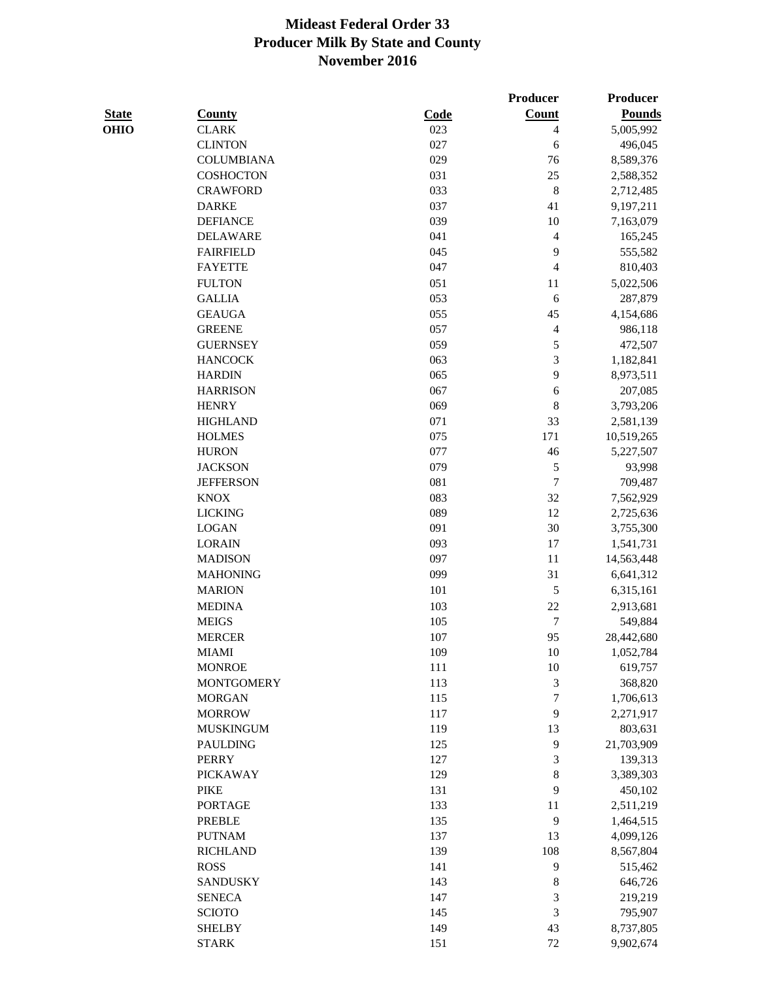|              |                   |      | Producer                | <b>Producer</b> |
|--------------|-------------------|------|-------------------------|-----------------|
| <b>State</b> | <b>County</b>     | Code | Count                   | <b>Pounds</b>   |
| <b>OHIO</b>  | <b>CLARK</b>      | 023  | $\overline{4}$          | 5,005,992       |
|              | <b>CLINTON</b>    | 027  | 6                       | 496,045         |
|              | <b>COLUMBIANA</b> | 029  | 76                      | 8,589,376       |
|              | <b>COSHOCTON</b>  | 031  | 25                      | 2,588,352       |
|              | <b>CRAWFORD</b>   | 033  | $\,$ 8 $\,$             | 2,712,485       |
|              | <b>DARKE</b>      | 037  | 41                      | 9,197,211       |
|              | <b>DEFIANCE</b>   | 039  | 10                      | 7,163,079       |
|              | <b>DELAWARE</b>   | 041  | 4                       | 165,245         |
|              | <b>FAIRFIELD</b>  | 045  |                         | 555,582         |
|              |                   |      | 9                       |                 |
|              | <b>FAYETTE</b>    | 047  | 4                       | 810,403         |
|              | <b>FULTON</b>     | 051  | 11                      | 5,022,506       |
|              | <b>GALLIA</b>     | 053  | 6                       | 287,879         |
|              | <b>GEAUGA</b>     | 055  | 45                      | 4,154,686       |
|              | <b>GREENE</b>     | 057  | $\overline{\mathbf{4}}$ | 986,118         |
|              | <b>GUERNSEY</b>   | 059  | 5                       | 472,507         |
|              | <b>HANCOCK</b>    | 063  | 3                       | 1,182,841       |
|              | <b>HARDIN</b>     | 065  | 9                       | 8,973,511       |
|              | <b>HARRISON</b>   | 067  | 6                       | 207,085         |
|              | <b>HENRY</b>      | 069  | 8                       | 3,793,206       |
|              | <b>HIGHLAND</b>   | 071  | 33                      | 2,581,139       |
|              | <b>HOLMES</b>     | 075  | 171                     | 10,519,265      |
|              | <b>HURON</b>      | 077  | 46                      | 5,227,507       |
|              | <b>JACKSON</b>    | 079  | 5                       | 93,998          |
|              | <b>JEFFERSON</b>  | 081  | 7                       | 709,487         |
|              | <b>KNOX</b>       | 083  | 32                      | 7,562,929       |
|              | <b>LICKING</b>    | 089  | 12                      | 2,725,636       |
|              | <b>LOGAN</b>      | 091  | 30                      | 3,755,300       |
|              | <b>LORAIN</b>     | 093  | 17                      | 1,541,731       |
|              | <b>MADISON</b>    | 097  | 11                      | 14,563,448      |
|              | <b>MAHONING</b>   | 099  | 31                      | 6,641,312       |
|              | <b>MARION</b>     | 101  | 5                       |                 |
|              |                   |      |                         | 6,315,161       |
|              | <b>MEDINA</b>     | 103  | 22                      | 2,913,681       |
|              | <b>MEIGS</b>      | 105  | 7                       | 549,884         |
|              | <b>MERCER</b>     | 107  | 95                      | 28,442,680      |
|              | <b>MIAMI</b>      | 109  | 10                      | 1,052,784       |
|              | <b>MONROE</b>     | 111  | 10                      | 619,757         |
|              | <b>MONTGOMERY</b> | 113  | $\mathfrak{Z}$          | 368,820         |
|              | <b>MORGAN</b>     | 115  | 7                       | 1,706,613       |
|              | <b>MORROW</b>     | 117  | 9                       | 2,271,917       |
|              | <b>MUSKINGUM</b>  | 119  | 13                      | 803,631         |
|              | <b>PAULDING</b>   | 125  | 9                       | 21,703,909      |
|              | <b>PERRY</b>      | 127  | $\mathfrak{Z}$          | 139,313         |
|              | <b>PICKAWAY</b>   | 129  | $\,8\,$                 | 3,389,303       |
|              | <b>PIKE</b>       | 131  | 9                       | 450,102         |
|              | <b>PORTAGE</b>    | 133  | 11                      | 2,511,219       |
|              | <b>PREBLE</b>     | 135  | $\mathbf{9}$            | 1,464,515       |
|              | <b>PUTNAM</b>     | 137  | 13                      | 4,099,126       |
|              | <b>RICHLAND</b>   | 139  | 108                     | 8,567,804       |
|              | <b>ROSS</b>       | 141  | 9                       | 515,462         |
|              | <b>SANDUSKY</b>   | 143  | $\,8\,$                 | 646,726         |
|              | <b>SENECA</b>     | 147  | 3                       | 219,219         |
|              | <b>SCIOTO</b>     | 145  | 3                       | 795,907         |
|              | <b>SHELBY</b>     | 149  | 43                      | 8,737,805       |
|              | <b>STARK</b>      | 151  | $72\,$                  | 9,902,674       |
|              |                   |      |                         |                 |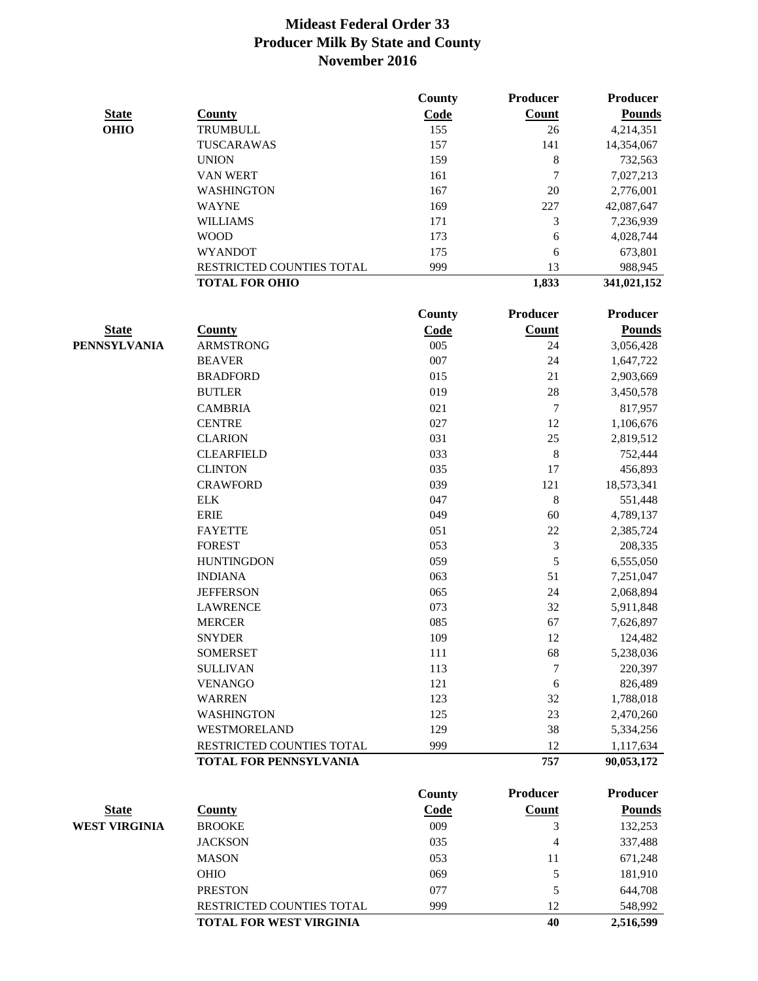|                      |                                                            | County     | <b>Producer</b> | <b>Producer</b>         |
|----------------------|------------------------------------------------------------|------------|-----------------|-------------------------|
| <b>State</b>         | <b>County</b>                                              | Code       | Count           | <b>Pounds</b>           |
| <b>OHIO</b>          | <b>TRUMBULL</b>                                            | 155        | 26              | 4,214,351               |
|                      | TUSCARAWAS                                                 | 157        | 141             | 14,354,067              |
|                      | <b>UNION</b>                                               | 159        | 8               | 732,563                 |
|                      | <b>VAN WERT</b>                                            | 161        | 7               | 7,027,213               |
|                      | <b>WASHINGTON</b>                                          | 167        | 20              | 2,776,001               |
|                      | <b>WAYNE</b>                                               | 169        | 227             | 42,087,647              |
|                      | <b>WILLIAMS</b>                                            | 171        | 3               | 7,236,939               |
|                      | <b>WOOD</b>                                                | 173        | 6               | 4,028,744               |
|                      | <b>WYANDOT</b>                                             | 175        | 6               | 673,801                 |
|                      | RESTRICTED COUNTIES TOTAL                                  | 999        | 13              | 988,945                 |
|                      | <b>TOTAL FOR OHIO</b>                                      |            | 1,833           | 341,021,152             |
|                      |                                                            | County     | Producer        | <b>Producer</b>         |
| <b>State</b>         | <b>County</b>                                              | Code       | <b>Count</b>    | <b>Pounds</b>           |
| <b>PENNSYLVANIA</b>  | <b>ARMSTRONG</b>                                           | 005        | 24              | 3,056,428               |
|                      | <b>BEAVER</b>                                              | 007        | 24              | 1,647,722               |
|                      | <b>BRADFORD</b>                                            | 015        | 21              | 2,903,669               |
|                      | <b>BUTLER</b>                                              | 019        | 28              | 3,450,578               |
|                      | <b>CAMBRIA</b>                                             | 021        | 7               |                         |
|                      |                                                            | 027        | 12              | 817,957                 |
|                      | <b>CENTRE</b>                                              | 031        | 25              | 1,106,676               |
|                      | <b>CLARION</b>                                             | 033        | $\,8\,$         | 2,819,512               |
|                      | <b>CLEARFIELD</b>                                          | 035        | 17              | 752,444                 |
|                      | <b>CLINTON</b>                                             | 039        | 121             | 456,893                 |
|                      | <b>CRAWFORD</b><br>${\rm ELK}$                             | 047        | $\,8\,$         | 18,573,341              |
|                      |                                                            | 049        | 60              | 551,448                 |
|                      | <b>ERIE</b>                                                | 051        | 22              | 4,789,137               |
|                      | <b>FAYETTE</b>                                             |            | 3               | 2,385,724               |
|                      | <b>FOREST</b>                                              | 053<br>059 | 5               | 208,335                 |
|                      | <b>HUNTINGDON</b>                                          |            |                 | 6,555,050               |
|                      | <b>INDIANA</b>                                             | 063        | 51              | 7,251,047               |
|                      | <b>JEFFERSON</b>                                           | 065        | 24              | 2,068,894               |
|                      | <b>LAWRENCE</b>                                            | 073        | 32              | 5,911,848               |
|                      | <b>MERCER</b>                                              | 085        | 67              | 7,626,897               |
|                      | <b>SNYDER</b>                                              | 109        | 12              | 124,482                 |
|                      | <b>SOMERSET</b>                                            | 111        | 68              | 5,238,036               |
|                      | <b>SULLIVAN</b>                                            | 113        | 7               | 220,397                 |
|                      | <b>VENANGO</b>                                             | 121        | 6               | 826,489                 |
|                      | <b>WARREN</b>                                              | 123        | 32              | 1,788,018               |
|                      | <b>WASHINGTON</b>                                          | 125        | 23              | 2,470,260               |
|                      | WESTMORELAND                                               | 129        | 38              | 5,334,256               |
|                      | RESTRICTED COUNTIES TOTAL<br><b>TOTAL FOR PENNSYLVANIA</b> | 999        | 12<br>757       | 1,117,634<br>90,053,172 |
|                      |                                                            |            |                 |                         |
|                      |                                                            | County     | Producer        | <b>Producer</b>         |
| <b>State</b>         | <b>County</b>                                              | Code       | Count           | <b>Pounds</b>           |
| <b>WEST VIRGINIA</b> | <b>BROOKE</b>                                              | 009        | 3               | 132,253                 |
|                      | <b>JACKSON</b>                                             | 035        | 4               | 337,488                 |
|                      | <b>MASON</b>                                               | 053        | 11              | 671,248                 |
|                      | OHIO                                                       | 069        | 5               | 181,910                 |
|                      | <b>PRESTON</b>                                             | 077        | 5               | 644,708                 |
|                      | RESTRICTED COUNTIES TOTAL                                  | 999        | 12              | 548,992                 |
|                      | TOTAL FOR WEST VIRGINIA                                    |            | 40              | 2,516,599               |
|                      |                                                            |            |                 |                         |